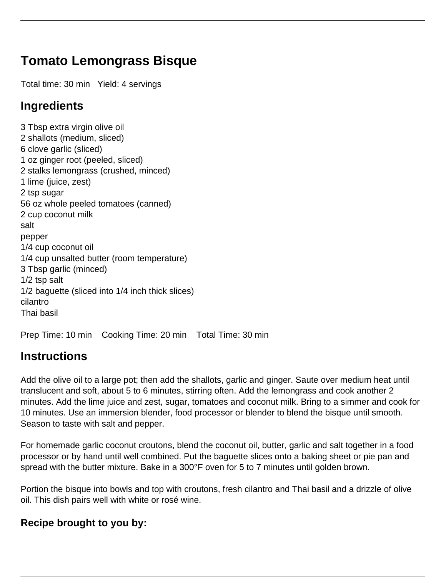## **Tomato Lemongrass Bisque**

Total time: 30 min Yield: 4 servings

## **Ingredients**

3 Tbsp extra virgin olive oil 2 shallots (medium, sliced) 6 clove garlic (sliced) 1 oz ginger root (peeled, sliced) 2 stalks lemongrass (crushed, minced) 1 lime (juice, zest) 2 tsp sugar 56 oz whole peeled tomatoes (canned) 2 cup coconut milk salt pepper 1/4 cup coconut oil 1/4 cup unsalted butter (room temperature) 3 Tbsp garlic (minced) 1/2 tsp salt 1/2 baguette (sliced into 1/4 inch thick slices) cilantro Thai basil

Prep Time: 10 min Cooking Time: 20 min Total Time: 30 min

## **Instructions**

Add the olive oil to a large pot; then add the shallots, garlic and ginger. Saute over medium heat until translucent and soft, about 5 to 6 minutes, stirring often. Add the lemongrass and cook another 2 minutes. Add the lime juice and zest, sugar, tomatoes and coconut milk. Bring to a simmer and cook for 10 minutes. Use an immersion blender, food processor or blender to blend the bisque until smooth. Season to taste with salt and pepper.

For homemade garlic coconut croutons, blend the coconut oil, butter, garlic and salt together in a food processor or by hand until well combined. Put the baguette slices onto a baking sheet or pie pan and spread with the butter mixture. Bake in a 300°F oven for 5 to 7 minutes until golden brown.

Portion the bisque into bowls and top with croutons, fresh cilantro and Thai basil and a drizzle of olive oil. This dish pairs well with white or rosé wine.

## **Recipe brought to you by:**